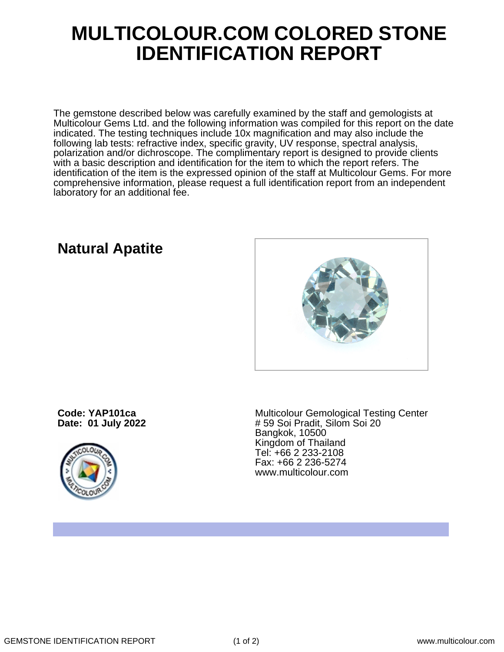## **MULTICOLOUR.COM COLORED STONE IDENTIFICATION REPORT**

The gemstone described below was carefully examined by the staff and gemologists at Multicolour Gems Ltd. and the following information was compiled for this report on the date indicated. The testing techniques include 10x magnification and may also include the following lab tests: refractive index, specific gravity, UV response, spectral analysis, polarization and/or dichroscope. The complimentary report is designed to provide clients with a basic description and identification for the item to which the report refers. The identification of the item is the expressed opinion of the staff at Multicolour Gems. For more comprehensive information, please request a full identification report from an independent laboratory for an additional fee.

## **Natural Apatite**



**Code: YAP101ca Date: 01 July 2022**



Multicolour Gemological Testing Center # 59 Soi Pradit, Silom Soi 20 Bangkok, 10500 Kingdom of Thailand Tel: +66 2 233-2108 Fax: +66 2 236-5274 www.multicolour.com